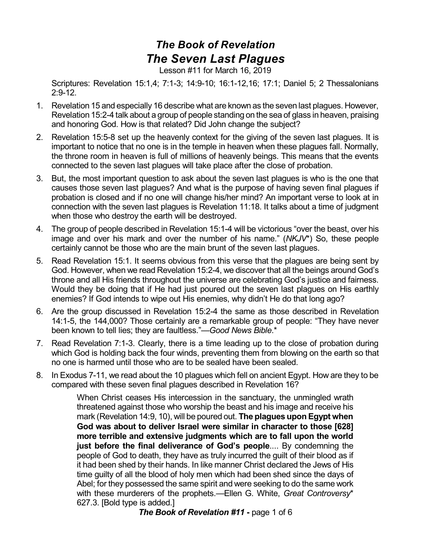## *The Book of Revelation The Seven Last Plagues*

Lesson #11 for March 16, 2019

Scriptures: Revelation 15:1,4; 7:1-3; 14:9-10; 16:1-12,16; 17:1; Daniel 5; 2 Thessalonians 2:9-12.

- 1. Revelation 15 and especially 16 describe what are known as the seven last plagues. However, Revelation 15:2-4 talk about a group of people standing on the sea of glass in heaven, praising and honoring God. How is that related? Did John change the subject?
- 2. Revelation 15:5-8 set up the heavenly context for the giving of the seven last plagues. It is important to notice that no one is in the temple in heaven when these plagues fall. Normally, the throne room in heaven is full of millions of heavenly beings. This means that the events connected to the seven last plagues will take place after the close of probation.
- 3. But, the most important question to ask about the seven last plagues is who is the one that causes those seven last plagues? And what is the purpose of having seven final plagues if probation is closed and if no one will change his/her mind? An important verse to look at in connection with the seven last plagues is Revelation 11:18. It talks about a time of judgment when those who destroy the earth will be destroyed.
- 4. The group of people described in Revelation 15:1-4 will be victorious "over the beast, over his image and over his mark and over the number of his name." (*NKJV*\*) So, these people certainly cannot be those who are the main brunt of the seven last plagues.
- 5. Read Revelation 15:1. It seems obvious from this verse that the plagues are being sent by God. However, when we read Revelation 15:2-4, we discover that all the beings around God's throne and all His friends throughout the universe are celebrating God's justice and fairness. Would they be doing that if He had just poured out the seven last plagues on His earthly enemies? If God intends to wipe out His enemies, why didn't He do that long ago?
- 6. Are the group discussed in Revelation 15:2-4 the same as those described in Revelation 14:1-5, the 144,000? Those certainly are a remarkable group of people: "They have never been known to tell lies; they are faultless."—*Good News Bible*.\*
- 7. Read Revelation 7:1-3. Clearly, there is a time leading up to the close of probation during which God is holding back the four winds, preventing them from blowing on the earth so that no one is harmed until those who are to be sealed have been sealed.
- 8. In Exodus 7-11, we read about the 10 plagues which fell on ancient Egypt. How are they to be compared with these seven final plagues described in Revelation 16?

When Christ ceases His intercession in the sanctuary, the unmingled wrath threatened against those who worship the beast and his image and receive his mark (Revelation 14:9, 10), will be poured out. **The plagues upon Egypt when God was about to deliver Israel were similar in character to those [628] more terrible and extensive judgments which are to fall upon the world just before the final deliverance of God's people**.... By condemning the people of God to death, they have as truly incurred the guilt of their blood as if it had been shed by their hands. In like manner Christ declared the Jews of His time guilty of all the blood of holy men which had been shed since the days of Abel; for they possessed the same spirit and were seeking to do the same work with these murderers of the prophets.—Ellen G. White, *Great Controversy*\* 627.3. [Bold type is added.]

*The Book of Revelation #11* **-** page 1 of 6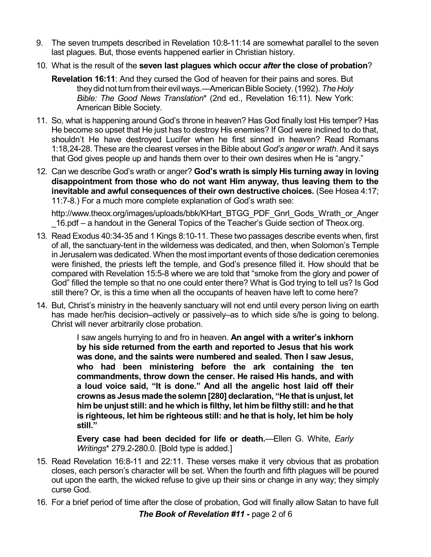- 9. The seven trumpets described in Revelation 10:8-11:14 are somewhat parallel to the seven last plagues. But, those events happened earlier in Christian history.
- 10. What is the result of the **seven last plagues which occur** *after* **the close of probation**?
	- **Revelation 16:11**: And they cursed the God of heaven for their pains and sores. But they did not turn from their evil ways.—American Bible Society. (1992). The Holy *Bible: The Good News Translation*\* (2nd ed., Revelation 16:11). New York: American Bible Society.
- 11. So, what is happening around God's throne in heaven? Has God finally lost His temper? Has He become so upset that He just has to destroy His enemies? If God were inclined to do that, shouldn't He have destroyed Lucifer when he first sinned in heaven? Read Romans 1:18,24-28. These are the clearest verses in the Bible about *God's anger* or *wrath*. And it says that God gives people up and hands them over to their own desires when He is "angry."
- 12. Can we describe God's wrath or anger? **God's wrath is simply His turning away in loving disappointment from those who do not want Him anyway, thus leaving them to the inevitable and awful consequences of their own destructive choices.** (See Hosea 4:17; 11:7-8.) For a much more complete explanation of God's wrath see:

http://www.theox.org/images/uploads/bbk/KHart\_BTGG\_PDF\_Gnrl\_Gods\_Wrath\_or\_Anger 16.pdf – a handout in the General Topics of the Teacher's Guide section of Theox.org.

- 13. Read Exodus 40:34-35 and 1 Kings 8:10-11. These two passages describe events when, first of all, the sanctuary-tent in the wilderness was dedicated, and then, when Solomon's Temple in Jerusalem was dedicated. When the most important events of those dedication ceremonies were finished, the priests left the temple, and God's presence filled it. How should that be compared with Revelation 15:5-8 where we are told that "smoke from the glory and power of God" filled the temple so that no one could enter there? What is God trying to tell us? Is God still there? Or, is this a time when all the occupants of heaven have left to come here?
- 14. But, Christ's ministry in the heavenly sanctuary will not end until every person living on earth has made her/his decision–actively or passively–as to which side s/he is going to belong. Christ will never arbitrarily close probation.

I saw angels hurrying to and fro in heaven. **An angel with a writer's inkhorn by his side returned from the earth and reported to Jesus that his work was done, and the saints were numbered and sealed. Then I saw Jesus, who had been ministering before the ark containing the ten commandments, throw down the censer. He raised His hands, and with a loud voice said, "It is done." And all the angelic host laid off their crowns as Jesus made the solemn [280] declaration, "He that is unjust, let him be unjust still: and he which is filthy, let him be filthy still: and he that is righteous, let him be righteous still: and he that is holy, let him be holy still."**

**Every case had been decided for life or death.**—Ellen G. White, *Early Writings*\* 279.2-280.0. [Bold type is added.]

- 15. Read Revelation 16:8-11 and 22:11. These verses make it very obvious that as probation closes, each person's character will be set. When the fourth and fifth plagues will be poured out upon the earth, the wicked refuse to give up their sins or change in any way; they simply curse God.
- 16. For a brief period of time after the close of probation, God will finally allow Satan to have full *The Book of Revelation #11* **-** page 2 of 6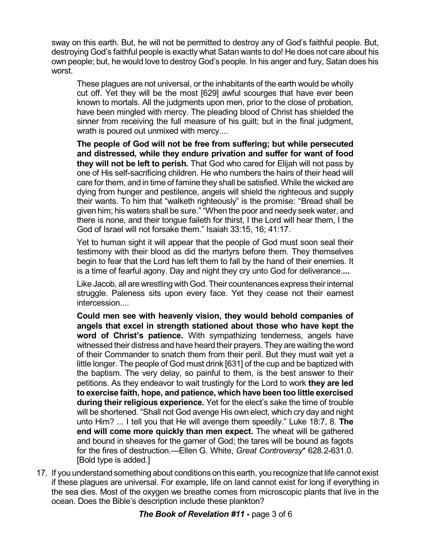sway on this earth. But, he will not be permitted to destroy any of God's faithful people. But, destroying God's faithful people is exactly what Satan wants to do! He does not care about his own people; but, he would love to destroy God's people. In his anger and fury, Satan does his worst.

These plagues are not universal, or the inhabitants of the earth would be wholly cut off. Yet they will be the most [629] awful scourges that have ever been known to mortals. All the judgments upon men, prior to the close of probation, have been mingled with mercy. The pleading blood of Christ has shielded the sinner from receiving the full measure of his guilt; but in the final judgment, wrath is poured out unmixed with mercy....

**The people of God will not be free from suffering; but while persecuted and distressed, while they endure privation and suffer for want of food they will not be left to perish.** That God who cared for Elijah will not pass by one of His self-sacrificing children. He who numbers the hairs of their head will care for them, and in time of famine they shall be satisfied. While the wicked are dying from hunger and pestilence, angels will shield the righteous and supply their wants. To him that "walketh righteously" is the promise: "Bread shall be given him; his waters shall be sure." "When the poor and needy seek water, and there is none, and their tongue faileth for thirst, I the Lord will hear them, I the God of Israel will not forsake them." Isaiah 33:15, 16; 41:17.

Yet to human sight it will appear that the people of God must soon seal their testimony with their blood as did the martyrs before them. They themselves begin to fear that the Lord has left them to fall by the hand of their enemies. It is a time of fearful agony. Day and night they cry unto God for deliverance.**...**

Like Jacob, all are wrestling withGod. Their countenances express theirinternal struggle. Paleness sits upon every face. Yet they cease not their earnest intercession....

**Could men see with heavenly vision, they would behold companies of angels that excel in strength stationed about those who have kept the word of Christ's patience.** With sympathizing tenderness, angels have witnessed their distress and have heard their prayers. They are waiting the word of their Commander to snatch them from their peril. But they must wait yet a little longer. The people of God must drink [631] of the cup and be baptized with the baptism. The very delay, so painful to them, is the best answer to their petitions. As they endeavor to wait trustingly for the Lord to work **they are led to exercise faith, hope, and patience, which have been too little exercised during their religious experience.** Yet for the elect's sake the time of trouble will be shortened. "Shall not God avenge His own elect, which cry day and night unto Him? ... I tell you that He will avenge them speedily." Luke 18:7, 8. **The end will come more quickly than men expect.** The wheat will be gathered and bound in sheaves for the garner of God; the tares will be bound as fagots for the fires of destruction.—Ellen G. White, *Great Controversy*\* 628.2-631.0. [Bold type is added.]

17. If you understand something about conditions on this earth, you recognize that life cannot exist if these plagues are universal. For example, life on land cannot exist for long if everything in the sea dies. Most of the oxygen we breathe comes from microscopic plants that live in the ocean. Does the Bible's description include these plankton?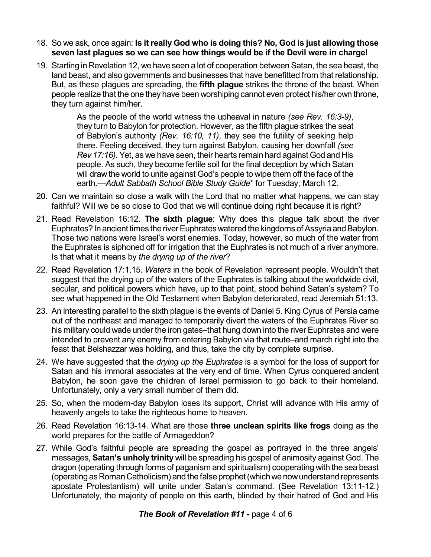- 18. So we ask, once again: **Is it really God who is doing this? No, God is just allowing those seven last plagues so we can see how things would be if the Devil were in charge!**
- 19. Starting in Revelation 12, we have seen a lot of cooperation between Satan, the sea beast, the land beast, and also governments and businesses that have benefitted from that relationship. But, as these plagues are spreading, the **fifth plague** strikes the throne of the beast. When people realize that the one they have been worshiping cannot even protect his/her own throne, they turn against him/her.

As the people of the world witness the upheaval in nature *(see Rev. 16:3-9)*, they turn to Babylon for protection. However, as the fifth plague strikes the seat of Babylon's authority *(Rev. 16:10, 11)*, they see the futility of seeking help there. Feeling deceived, they turn against Babylon, causing her downfall *(see Rev 17:16)*. Yet, as we have seen, their hearts remain hard against God and His people. As such, they become fertile soil for the final deception by which Satan will draw the world to unite against God's people to wipe them off the face of the earth.—*Adult Sabbath School Bible Study Guide*\* for Tuesday, March 12.

- 20. Can we maintain so close a walk with the Lord that no matter what happens, we can stay faithful? Will we be so close to God that we will continue doing right because it is right?
- 21. Read Revelation 16:12. **The sixth plague**: Why does this plague talk about the river Euphrates? In ancient times the river Euphrates watered the kingdoms of Assyria and Babylon. Those two nations were Israel's worst enemies. Today, however, so much of the water from the Euphrates is siphoned off for irrigation that the Euphrates is not much of a river anymore. Is that what it means by *the drying up of the river*?
- 22. Read Revelation 17:1,15. *Waters* in the book of Revelation represent people. Wouldn't that suggest that the drying up of the waters of the Euphrates is talking about the worldwide civil, secular, and political powers which have, up to that point, stood behind Satan's system? To see what happened in the Old Testament when Babylon deteriorated, read Jeremiah 51:13.
- 23. An interesting parallel to the sixth plague is the events of Daniel 5. King Cyrus of Persia came out of the northeast and managed to temporarily divert the waters of the Euphrates River so his military could wade under the iron gates–that hung down into the river Euphrates and were intended to prevent any enemy from entering Babylon via that route–and march right into the feast that Belshazzar was holding, and thus, take the city by complete surprise.
- 24. We have suggested that the *drying up the Euphrates* is a symbol for the loss of support for Satan and his immoral associates at the very end of time. When Cyrus conquered ancient Babylon, he soon gave the children of Israel permission to go back to their homeland. Unfortunately, only a very small number of them did.
- 25. So, when the modern-day Babylon loses its support, Christ will advance with His army of heavenly angels to take the righteous home to heaven.
- 26. Read Revelation 16:13-14. What are those **three unclean spirits like frogs** doing as the world prepares for the battle of Armageddon?
- 27. While God's faithful people are spreading the gospel as portrayed in the three angels' messages, **Satan's unholy trinity** will be spreading his gospel of animosity against God. The dragon (operating through forms of paganism and spiritualism) cooperating with the sea beast (operating as Roman Catholicism) and the false prophet (which we now understand represents apostate Protestantism) will unite under Satan's command. (See Revelation 13:11-12.) Unfortunately, the majority of people on this earth, blinded by their hatred of God and His

## *The Book of Revelation #11* **-** page 4 of 6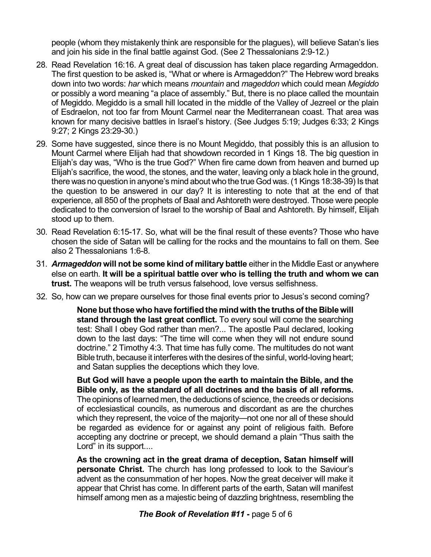people (whom they mistakenly think are responsible for the plagues), will believe Satan's lies and join his side in the final battle against God. (See 2 Thessalonians 2:9-12.)

- 28. Read Revelation 16:16. A great deal of discussion has taken place regarding Armageddon. The first question to be asked is, "What or where is Armageddon?" The Hebrew word breaks down into two words: *har* which means *mountain* and *mageddon* which could mean *Megiddo* or possibly a word meaning "a place of assembly." But, there is no place called the mountain of Megiddo. Megiddo is a small hill located in the middle of the Valley of Jezreel or the plain of Esdraelon, not too far from Mount Carmel near the Mediterranean coast. That area was known for many decisive battles in Israel's history. (See Judges 5:19; Judges 6:33; 2 Kings 9:27; 2 Kings 23:29-30.)
- 29. Some have suggested, since there is no Mount Megiddo, that possibly this is an allusion to Mount Carmel where Elijah had that showdown recorded in 1 Kings 18. The big question in Elijah's day was, "Who is the true God?" When fire came down from heaven and burned up Elijah's sacrifice, the wood, the stones, and the water, leaving only a black hole in the ground, there was no question in anyone's mind about who the true God was. (1 Kings 18:38-39) Is that the question to be answered in our day? It is interesting to note that at the end of that experience, all 850 of the prophets of Baal and Ashtoreth were destroyed. Those were people dedicated to the conversion of Israel to the worship of Baal and Ashtoreth. By himself, Elijah stood up to them.
- 30. Read Revelation 6:15-17. So, what will be the final result of these events? Those who have chosen the side of Satan will be calling for the rocks and the mountains to fall on them. See also 2 Thessalonians 1:6-8.
- 31. *Armageddon* **will not be some kind of military battle** either in the Middle East or anywhere else on earth. **It will be a spiritual battle over who is telling the truth and whom we can trust.** The weapons will be truth versus falsehood, love versus selfishness.
- 32. So, how can we prepare ourselves for those final events prior to Jesus's second coming?

**None but thosewho have fortified the mindwith the truths of the Biblewill stand through the last great conflict.** To every soul will come the searching test: Shall I obey God rather than men?... The apostle Paul declared, looking down to the last days: "The time will come when they will not endure sound doctrine." 2 Timothy 4:3. That time has fully come. The multitudes do not want Bible truth, because it interferes with the desires of the sinful, world-loving heart; and Satan supplies the deceptions which they love.

**But God will have a people upon the earth to maintain the Bible, and the Bible only, as the standard of all doctrines and the basis of all reforms.** The opinions of learned men, the deductions of science, the creeds or decisions of ecclesiastical councils, as numerous and discordant as are the churches which they represent, the voice of the majority—not one nor all of these should be regarded as evidence for or against any point of religious faith. Before accepting any doctrine or precept, we should demand a plain "Thus saith the Lord" in its support....

**As the crowning act in the great drama of deception, Satan himself will personate Christ.** The church has long professed to look to the Saviour's advent as the consummation of her hopes. Now the great deceiver will make it appear that Christ has come. In different parts of the earth, Satan will manifest himself among men as a majestic being of dazzling brightness, resembling the

## *The Book of Revelation #11* **-** page 5 of 6